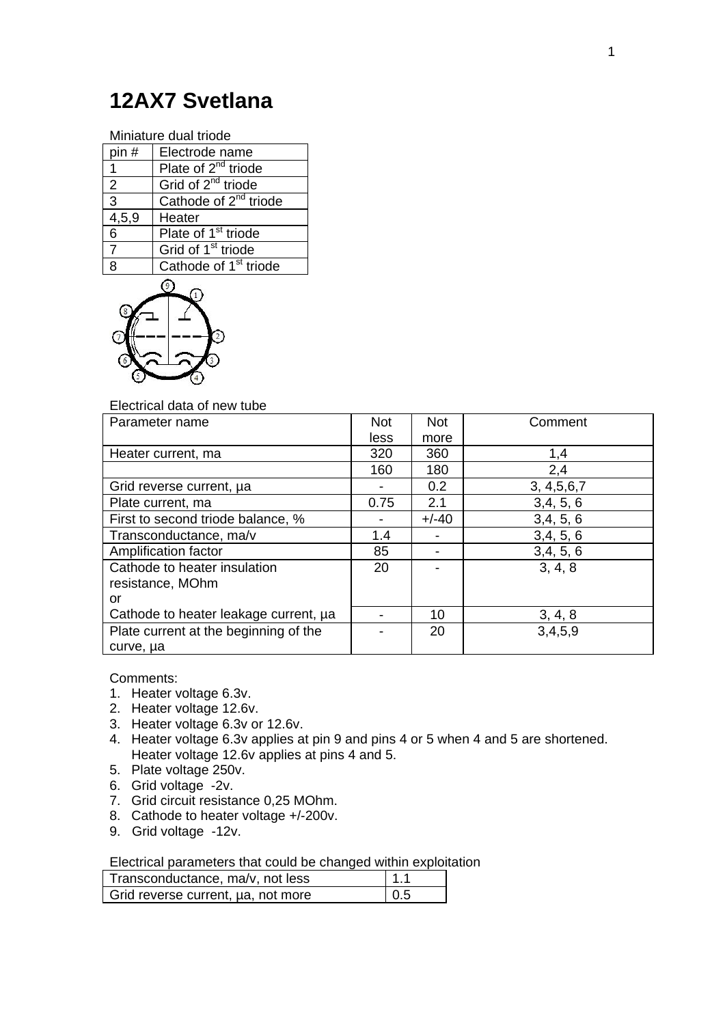## **12AX7 Svetlana**

Miniature dual triode

| pin#               | Electrode name                    |
|--------------------|-----------------------------------|
| 1                  | Plate of 2 <sup>nd</sup> triode   |
| $\overline{2}$     | Grid of 2 <sup>nd</sup> triode    |
| $\overline{3}$     | Cathode of 2 <sup>nd</sup> triode |
| $\overline{4,5,9}$ | Heater                            |
| 6                  | Plate of 1 <sup>st</sup> triode   |
| 7                  | Grid of 1 <sup>st</sup> triode    |
| ጸ                  | Cathode of 1 <sup>st</sup> triode |



## Electrical data of new tube

| Parameter name                        | <b>Not</b> | <b>Not</b> | Comment       |
|---------------------------------------|------------|------------|---------------|
|                                       | less       | more       |               |
| Heater current, ma                    | 320        | 360        | 1,4           |
|                                       | 160        | 180        | 2,4           |
| Grid reverse current, µa              |            | 0.2        | 3, 4, 5, 6, 7 |
| Plate current, ma                     | 0.75       | 2.1        | 3,4,5,6       |
| First to second triode balance, %     |            | $+/-40$    | 3,4,5,6       |
| Transconductance, ma/v                | 1.4        |            | 3,4,5,6       |
| Amplification factor                  | 85         |            | 3,4,5,6       |
| Cathode to heater insulation          | 20         |            | 3, 4, 8       |
| resistance, MOhm                      |            |            |               |
| or                                    |            |            |               |
| Cathode to heater leakage current, µa |            | 10         | 3, 4, 8       |
| Plate current at the beginning of the |            | 20         | 3,4,5,9       |
| curve, µa                             |            |            |               |

Comments:

- 1. Heater voltage 6.3v.
- 2. Heater voltage 12.6v.
- 3. Heater voltage 6.3v or 12.6v.
- 4. Heater voltage 6.3v applies at pin 9 and pins 4 or 5 when 4 and 5 are shortened. Heater voltage 12.6v applies at pins 4 and 5.
- 5. Plate voltage 250v.
- 6. Grid voltage -2v.
- 7. Grid circuit resistance 0,25 MOhm.
- 8. Cathode to heater voltage +/-200v.
- 9. Grid voltage -12v.

Electrical parameters that could be changed within exploitation

| Transconductance, ma/v, not less   | l 1.1      |
|------------------------------------|------------|
| Grid reverse current, µa, not more | $\mid$ 0.5 |